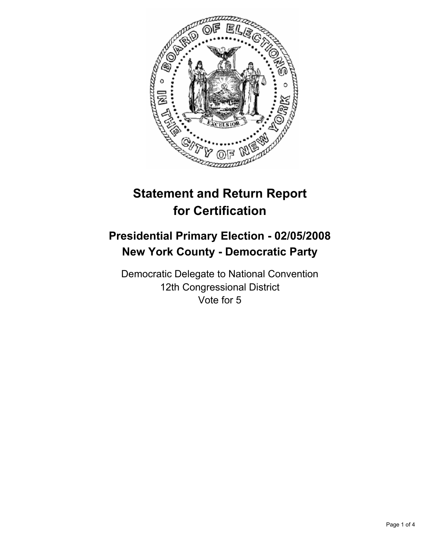

# **Statement and Return Report for Certification**

## **Presidential Primary Election - 02/05/2008 New York County - Democratic Party**

Democratic Delegate to National Convention 12th Congressional District Vote for 5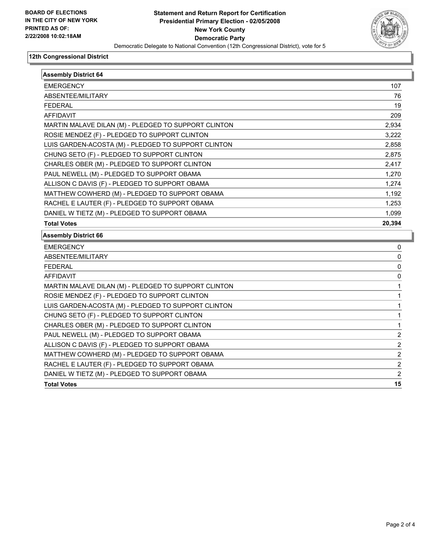

#### **12th Congressional District**

| <b>Assembly District 64</b>                          |                |
|------------------------------------------------------|----------------|
| <b>EMERGENCY</b>                                     | 107            |
| ABSENTEE/MILITARY                                    | 76             |
| <b>FEDERAL</b>                                       | 19             |
| <b>AFFIDAVIT</b>                                     | 209            |
| MARTIN MALAVE DILAN (M) - PLEDGED TO SUPPORT CLINTON | 2,934          |
| ROSIE MENDEZ (F) - PLEDGED TO SUPPORT CLINTON        | 3,222          |
| LUIS GARDEN-ACOSTA (M) - PLEDGED TO SUPPORT CLINTON  | 2,858          |
| CHUNG SETO (F) - PLEDGED TO SUPPORT CLINTON          | 2,875          |
| CHARLES OBER (M) - PLEDGED TO SUPPORT CLINTON        | 2,417          |
| PAUL NEWELL (M) - PLEDGED TO SUPPORT OBAMA           | 1,270          |
| ALLISON C DAVIS (F) - PLEDGED TO SUPPORT OBAMA       | 1,274          |
| MATTHEW COWHERD (M) - PLEDGED TO SUPPORT OBAMA       | 1,192          |
| RACHEL E LAUTER (F) - PLEDGED TO SUPPORT OBAMA       | 1,253          |
| DANIEL W TIETZ (M) - PLEDGED TO SUPPORT OBAMA        | 1,099          |
| <b>Total Votes</b>                                   | 20,394         |
| <b>Assembly District 66</b>                          |                |
| <b>EMERGENCY</b>                                     | 0              |
| ABSENTEE/MILITARY                                    | 0              |
| <b>FEDERAL</b>                                       | 0              |
| <b>AFFIDAVIT</b>                                     | 0              |
| MARTIN MALAVE DILAN (M) - PLEDGED TO SUPPORT CLINTON |                |
| ROSIE MENDEZ (F) - PLEDGED TO SUPPORT CLINTON        |                |
| LUIS GARDEN-ACOSTA (M) - PLEDGED TO SUPPORT CLINTON  |                |
| CHUNG SETO (F) - PLEDGED TO SUPPORT CLINTON          |                |
| CHARLES OBER (M) - PLEDGED TO SUPPORT CLINTON        |                |
| PAUL NEWELL (M) - PLEDGED TO SUPPORT OBAMA           | 2              |
| ALLISON C DAVIS (F) - PLEDGED TO SUPPORT OBAMA       | $\overline{2}$ |
| MATTHEW COWHERD (M) - PLEDGED TO SUPPORT OBAMA       | $\overline{2}$ |
| <b>DACUEL E LAUTED (E) DI EDCED TO CURRODT ORAMA</b> |                |

RACHEL E LAUTER (F) - PLEDGED TO SUPPORT OBAMA 2 DANIEL W TIETZ (M) - PLEDGED TO SUPPORT OBAMA 2

**Total Votes 15**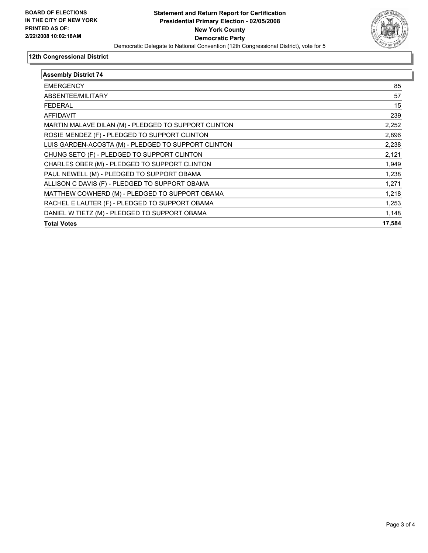

#### **12th Congressional District**

| <b>Assembly District 74</b>                          |        |
|------------------------------------------------------|--------|
| <b>EMERGENCY</b>                                     | 85     |
| ABSENTEE/MILITARY                                    | 57     |
| <b>FEDERAL</b>                                       | 15     |
| <b>AFFIDAVIT</b>                                     | 239    |
| MARTIN MALAVE DILAN (M) - PLEDGED TO SUPPORT CLINTON | 2,252  |
| ROSIE MENDEZ (F) - PLEDGED TO SUPPORT CLINTON        | 2,896  |
| LUIS GARDEN-ACOSTA (M) - PLEDGED TO SUPPORT CLINTON  | 2,238  |
| CHUNG SETO (F) - PLEDGED TO SUPPORT CLINTON          | 2,121  |
| CHARLES OBER (M) - PLEDGED TO SUPPORT CLINTON        | 1,949  |
| PAUL NEWELL (M) - PLEDGED TO SUPPORT OBAMA           | 1,238  |
| ALLISON C DAVIS (F) - PLEDGED TO SUPPORT OBAMA       | 1,271  |
| MATTHEW COWHERD (M) - PLEDGED TO SUPPORT OBAMA       | 1,218  |
| RACHEL E LAUTER (F) - PLEDGED TO SUPPORT OBAMA       | 1,253  |
| DANIEL W TIETZ (M) - PLEDGED TO SUPPORT OBAMA        | 1,148  |
| <b>Total Votes</b>                                   | 17,584 |